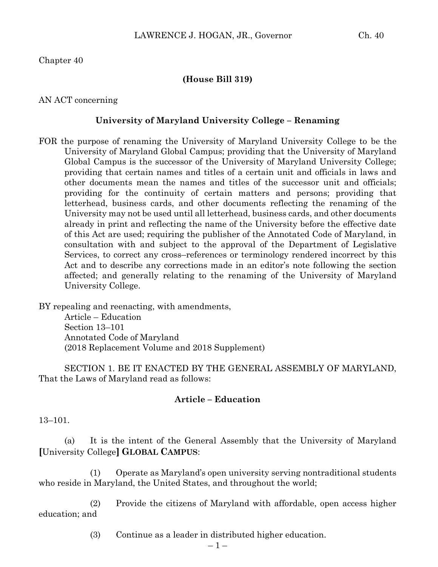Chapter 40

## **(House Bill 319)**

AN ACT concerning

## **University of Maryland University College – Renaming**

FOR the purpose of renaming the University of Maryland University College to be the University of Maryland Global Campus; providing that the University of Maryland Global Campus is the successor of the University of Maryland University College; providing that certain names and titles of a certain unit and officials in laws and other documents mean the names and titles of the successor unit and officials; providing for the continuity of certain matters and persons; providing that letterhead, business cards, and other documents reflecting the renaming of the University may not be used until all letterhead, business cards, and other documents already in print and reflecting the name of the University before the effective date of this Act are used; requiring the publisher of the Annotated Code of Maryland, in consultation with and subject to the approval of the Department of Legislative Services, to correct any cross–references or terminology rendered incorrect by this Act and to describe any corrections made in an editor's note following the section affected; and generally relating to the renaming of the University of Maryland University College.

BY repealing and reenacting, with amendments, Article – Education

Section 13–101 Annotated Code of Maryland (2018 Replacement Volume and 2018 Supplement)

SECTION 1. BE IT ENACTED BY THE GENERAL ASSEMBLY OF MARYLAND, That the Laws of Maryland read as follows:

## **Article – Education**

13–101.

(a) It is the intent of the General Assembly that the University of Maryland **[**University College**] GLOBAL CAMPUS**:

(1) Operate as Maryland's open university serving nontraditional students who reside in Maryland, the United States, and throughout the world;

(2) Provide the citizens of Maryland with affordable, open access higher education; and

(3) Continue as a leader in distributed higher education.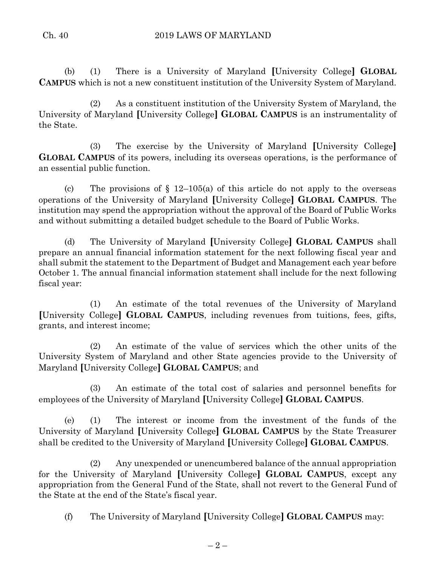(b) (1) There is a University of Maryland **[**University College**] GLOBAL CAMPUS** which is not a new constituent institution of the University System of Maryland.

(2) As a constituent institution of the University System of Maryland, the University of Maryland **[**University College**] GLOBAL CAMPUS** is an instrumentality of the State.

(3) The exercise by the University of Maryland **[**University College**] GLOBAL CAMPUS** of its powers, including its overseas operations, is the performance of an essential public function.

(c) The provisions of  $\S$  12–105(a) of this article do not apply to the overseas operations of the University of Maryland **[**University College**] GLOBAL CAMPUS**. The institution may spend the appropriation without the approval of the Board of Public Works and without submitting a detailed budget schedule to the Board of Public Works.

(d) The University of Maryland **[**University College**] GLOBAL CAMPUS** shall prepare an annual financial information statement for the next following fiscal year and shall submit the statement to the Department of Budget and Management each year before October 1. The annual financial information statement shall include for the next following fiscal year:

(1) An estimate of the total revenues of the University of Maryland **[**University College**] GLOBAL CAMPUS**, including revenues from tuitions, fees, gifts, grants, and interest income;

(2) An estimate of the value of services which the other units of the University System of Maryland and other State agencies provide to the University of Maryland **[**University College**] GLOBAL CAMPUS**; and

(3) An estimate of the total cost of salaries and personnel benefits for employees of the University of Maryland **[**University College**] GLOBAL CAMPUS**.

(e) (1) The interest or income from the investment of the funds of the University of Maryland **[**University College**] GLOBAL CAMPUS** by the State Treasurer shall be credited to the University of Maryland **[**University College**] GLOBAL CAMPUS**.

(2) Any unexpended or unencumbered balance of the annual appropriation for the University of Maryland **[**University College**] GLOBAL CAMPUS**, except any appropriation from the General Fund of the State, shall not revert to the General Fund of the State at the end of the State's fiscal year.

(f) The University of Maryland **[**University College**] GLOBAL CAMPUS** may: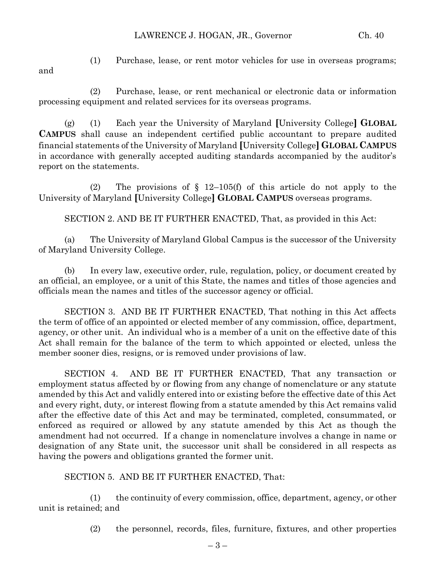## LAWRENCE J. HOGAN, JR., Governor Ch. 40

and

(1) Purchase, lease, or rent motor vehicles for use in overseas programs;

(2) Purchase, lease, or rent mechanical or electronic data or information processing equipment and related services for its overseas programs.

(g) (1) Each year the University of Maryland **[**University College**] GLOBAL CAMPUS** shall cause an independent certified public accountant to prepare audited financial statements of the University of Maryland **[**University College**] GLOBAL CAMPUS** in accordance with generally accepted auditing standards accompanied by the auditor's report on the statements.

(2) The provisions of § 12–105(f) of this article do not apply to the University of Maryland **[**University College**] GLOBAL CAMPUS** overseas programs.

SECTION 2. AND BE IT FURTHER ENACTED, That, as provided in this Act:

(a) The University of Maryland Global Campus is the successor of the University of Maryland University College.

(b) In every law, executive order, rule, regulation, policy, or document created by an official, an employee, or a unit of this State, the names and titles of those agencies and officials mean the names and titles of the successor agency or official.

SECTION 3. AND BE IT FURTHER ENACTED, That nothing in this Act affects the term of office of an appointed or elected member of any commission, office, department, agency, or other unit. An individual who is a member of a unit on the effective date of this Act shall remain for the balance of the term to which appointed or elected, unless the member sooner dies, resigns, or is removed under provisions of law.

SECTION 4. AND BE IT FURTHER ENACTED, That any transaction or employment status affected by or flowing from any change of nomenclature or any statute amended by this Act and validly entered into or existing before the effective date of this Act and every right, duty, or interest flowing from a statute amended by this Act remains valid after the effective date of this Act and may be terminated, completed, consummated, or enforced as required or allowed by any statute amended by this Act as though the amendment had not occurred. If a change in nomenclature involves a change in name or designation of any State unit, the successor unit shall be considered in all respects as having the powers and obligations granted the former unit.

SECTION 5. AND BE IT FURTHER ENACTED, That:

(1) the continuity of every commission, office, department, agency, or other unit is retained; and

(2) the personnel, records, files, furniture, fixtures, and other properties